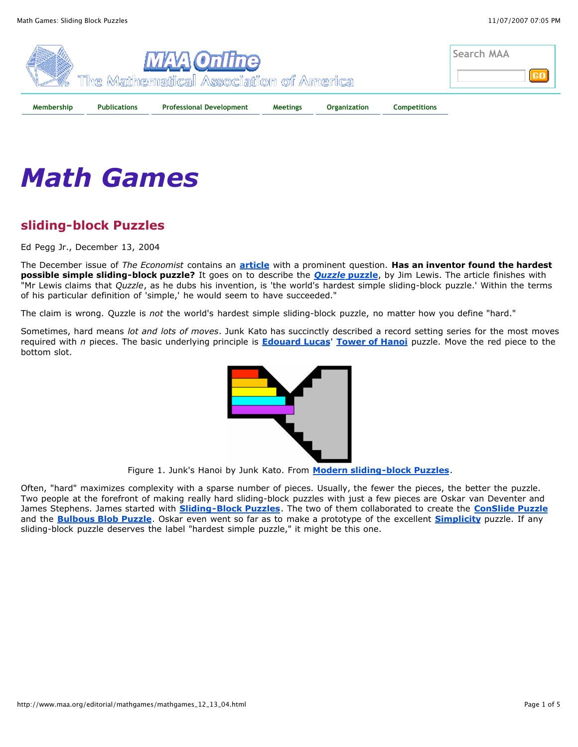

## *Math Games*

## **sliding-block Puzzles**

Ed Pegg Jr., December 13, 2004

The December issue of *The Economist* contains an **article** with a prominent question. **Has an inventor found the hardest possible simple sliding-block puzzle?** It goes on to describe the *Quzzle* **puzzle**, by Jim Lewis. The article finishes with "Mr Lewis claims that *Quzzle*, as he dubs his invention, is 'the world's hardest simple sliding-block puzzle.' Within the terms of his particular definition of 'simple,' he would seem to have succeeded."

The claim is wrong. Quzzle is *not* the world's hardest simple sliding-block puzzle, no matter how you define "hard."

Sometimes, hard means *lot and lots of moves*. Junk Kato has succinctly described a record setting series for the most moves required with *n* pieces. The basic underlying principle is **Edouard Lucas**' **Tower of Hanoi** puzzle. Move the red piece to the bottom slot.



Figure 1. Junk's Hanoi by Junk Kato. From **Modern sliding-block Puzzles**.

Often, "hard" maximizes complexity with a sparse number of pieces. Usually, the fewer the pieces, the better the puzzle. Two people at the forefront of making really hard sliding-block puzzles with just a few pieces are Oskar van Deventer and James Stephens. James started with **Sliding-Block Puzzles**. The two of them collaborated to create the **ConSlide Puzzle** and the **Bulbous Blob Puzzle**. Oskar even went so far as to make a prototype of the excellent **Simplicity** puzzle. If any sliding-block puzzle deserves the label "hardest simple puzzle," it might be this one.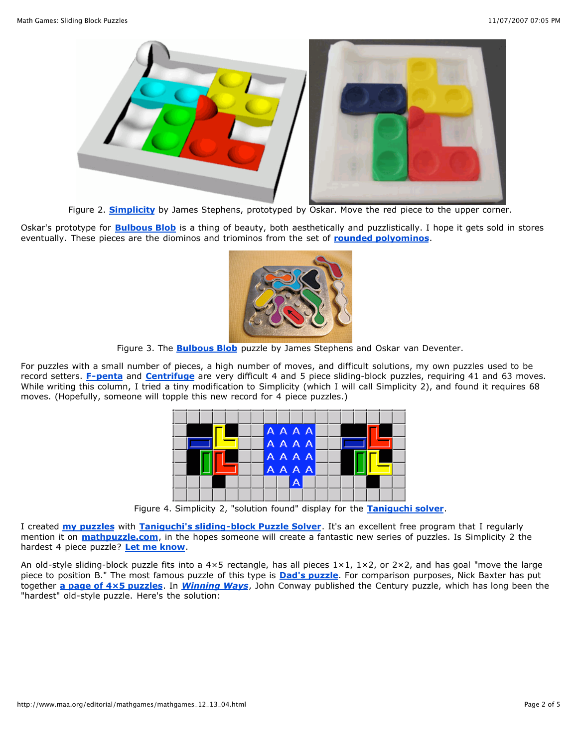

Figure 2. **Simplicity** by James Stephens, prototyped by Oskar. Move the red piece to the upper corner.

Oskar's prototype for **Bulbous Blob** is a thing of beauty, both aesthetically and puzzlistically. I hope it gets sold in stores eventually. These pieces are the diominos and triominos from the set of **rounded polyominos**.



Figure 3. The **Bulbous Blob** puzzle by James Stephens and Oskar van Deventer.

For puzzles with a small number of pieces, a high number of moves, and difficult solutions, my own puzzles used to be record setters. **F-penta** and **Centrifuge** are very difficult 4 and 5 piece sliding-block puzzles, requiring 41 and 63 moves. While writing this column, I tried a tiny modification to Simplicity (which I will call Simplicity 2), and found it requires 68 moves. (Hopefully, someone will topple this new record for 4 piece puzzles.)

|  | AAAA        |   |  |  |  |  |
|--|-------------|---|--|--|--|--|
|  | AAAA        |   |  |  |  |  |
|  | <b>AAAA</b> |   |  |  |  |  |
|  | <b>AAAA</b> |   |  |  |  |  |
|  |             | A |  |  |  |  |
|  |             |   |  |  |  |  |

Figure 4. Simplicity 2, "solution found" display for the **Taniguchi solver**.

I created **my puzzles** with **Taniguchi's sliding-block Puzzle Solver**. It's an excellent free program that I regularly mention it on **mathpuzzle.com**, in the hopes someone will create a fantastic new series of puzzles. Is Simplicity 2 the hardest 4 piece puzzle? **Let me know**.

An old-style sliding-block puzzle fits into a  $4\times5$  rectangle, has all pieces  $1\times1$ ,  $1\times2$ , or  $2\times2$ , and has goal "move the large piece to position B." The most famous puzzle of this type is **Dad's puzzle**. For comparison purposes, Nick Baxter has put together **a page of 4×5 puzzles**. In *Winning Ways*, John Conway published the Century puzzle, which has long been the "hardest" old-style puzzle. Here's the solution: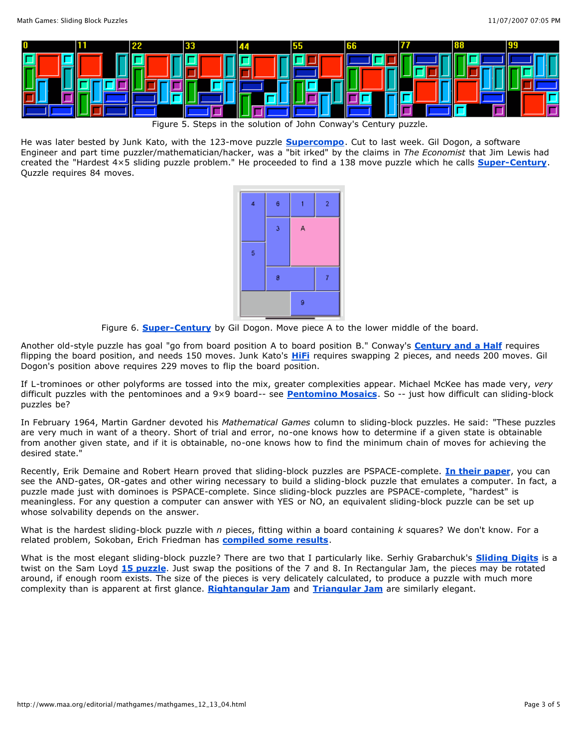

Figure 5. Steps in the solution of John Conway's Century puzzle.

He was later bested by Junk Kato, with the 123-move puzzle **Supercompo**. Cut to last week. Gil Dogon, a software Engineer and part time puzzler/mathematician/hacker, was a "bit irked" by the claims in *The Economist* that Jim Lewis had created the "Hardest 4×5 sliding puzzle problem." He proceeded to find a 138 move puzzle which he calls **Super-Century**. Quzzle requires 84 moves.



Figure 6. **Super-Century** by Gil Dogon. Move piece A to the lower middle of the board.

Another old-style puzzle has goal "go from board position A to board position B." Conway's **Century and a Half** requires flipping the board position, and needs 150 moves. Junk Kato's **HiFi** requires swapping 2 pieces, and needs 200 moves. Gil Dogon's position above requires 229 moves to flip the board position.

If L-trominoes or other polyforms are tossed into the mix, greater complexities appear. Michael McKee has made very, *very* difficult puzzles with the pentominoes and a 9×9 board-- see **Pentomino Mosaics**. So -- just how difficult can sliding-block puzzles be?

In February 1964, Martin Gardner devoted his *Mathematical Games* column to sliding-block puzzles. He said: "These puzzles are very much in want of a theory. Short of trial and error, no-one knows how to determine if a given state is obtainable from another given state, and if it is obtainable, no-one knows how to find the minimum chain of moves for achieving the desired state."

Recently, Erik Demaine and Robert Hearn proved that sliding-block puzzles are PSPACE-complete. **In their paper**, you can see the AND-gates, OR-gates and other wiring necessary to build a sliding-block puzzle that emulates a computer. In fact, a puzzle made just with dominoes is PSPACE-complete. Since sliding-block puzzles are PSPACE-complete, "hardest" is meaningless. For any question a computer can answer with YES or NO, an equivalent sliding-block puzzle can be set up whose solvability depends on the answer.

What is the hardest sliding-block puzzle with *n* pieces, fitting within a board containing *k* squares? We don't know. For a related problem, Sokoban, Erich Friedman has **compiled some results**.

What is the most elegant sliding-block puzzle? There are two that I particularly like. Serhiy Grabarchuk's **Sliding Digits** is a twist on the Sam Loyd **15 puzzle**. Just swap the positions of the 7 and 8. In Rectangular Jam, the pieces may be rotated around, if enough room exists. The size of the pieces is very delicately calculated, to produce a puzzle with much more complexity than is apparent at first glance. **Rightangular Jam** and **Triangular Jam** are similarly elegant.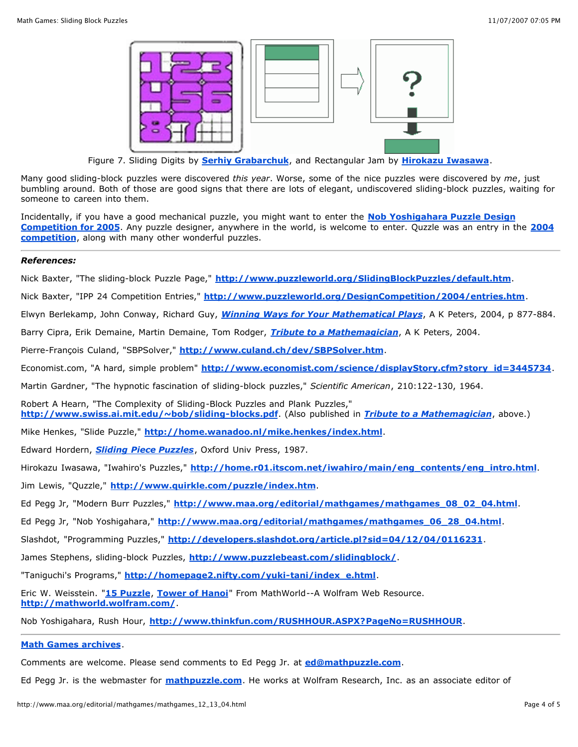

Figure 7. Sliding Digits by **Serhiy Grabarchuk**, and Rectangular Jam by **Hirokazu Iwasawa**.

Many good sliding-block puzzles were discovered *this year*. Worse, some of the nice puzzles were discovered by *me*, just bumbling around. Both of those are good signs that there are lots of elegant, undiscovered sliding-block puzzles, waiting for someone to careen into them.

Incidentally, if you have a good mechanical puzzle, you might want to enter the **Nob Yoshigahara Puzzle Design Competition for 2005**. Any puzzle designer, anywhere in the world, is welcome to enter. Quzzle was an entry in the **2004 competition**, along with many other wonderful puzzles.

## *References:*

Nick Baxter, "The sliding-block Puzzle Page," **http://www.puzzleworld.org/SlidingBlockPuzzles/default.htm**.

Nick Baxter, "IPP 24 Competition Entries," **http://www.puzzleworld.org/DesignCompetition/2004/entries.htm**.

Elwyn Berlekamp, John Conway, Richard Guy, *Winning Ways for Your Mathematical Plays*, A K Peters, 2004, p 877-884.

Barry Cipra, Erik Demaine, Martin Demaine, Tom Rodger, *Tribute to a Mathemagician*, A K Peters, 2004.

Pierre-François Culand, "SBPSolver," **http://www.culand.ch/dev/SBPSolver.htm**.

Economist.com, "A hard, simple problem" **http://www.economist.com/science/displayStory.cfm?story\_id=3445734**.

Martin Gardner, "The hypnotic fascination of sliding-block puzzles," *Scientific American*, 210:122-130, 1964.

Robert A Hearn, "The Complexity of Sliding-Block Puzzles and Plank Puzzles," **http://www.swiss.ai.mit.edu/~bob/sliding-blocks.pdf**. (Also published in *Tribute to a Mathemagician*, above.)

Mike Henkes, "Slide Puzzle," **http://home.wanadoo.nl/mike.henkes/index.html**.

Edward Hordern, *Sliding Piece Puzzles*, Oxford Univ Press, 1987.

Hirokazu Iwasawa, "Iwahiro's Puzzles," **http://home.r01.itscom.net/iwahiro/main/eng\_contents/eng\_intro.html**.

Jim Lewis, "Quzzle," **http://www.quirkle.com/puzzle/index.htm**.

Ed Pegg Jr, "Modern Burr Puzzles," **http://www.maa.org/editorial/mathgames/mathgames\_08\_02\_04.html**.

Ed Pegg Jr, "Nob Yoshigahara," **http://www.maa.org/editorial/mathgames/mathgames\_06\_28\_04.html**.

Slashdot, "Programming Puzzles," **http://developers.slashdot.org/article.pl?sid=04/12/04/0116231**.

James Stephens, sliding-block Puzzles, **http://www.puzzlebeast.com/slidingblock/**.

"Taniguchi's Programs," **http://homepage2.nifty.com/yuki-tani/index\_e.html**.

Eric W. Weisstein. "**15 Puzzle**, **Tower of Hanoi**" From MathWorld--A Wolfram Web Resource. **http://mathworld.wolfram.com/**.

Nob Yoshigahara, Rush Hour, **http://www.thinkfun.com/RUSHHOUR.ASPX?PageNo=RUSHHOUR**.

## **Math Games archives**.

Comments are welcome. Please send comments to Ed Pegg Jr. at **ed@mathpuzzle.com**.

Ed Pegg Jr. is the webmaster for **mathpuzzle.com**. He works at Wolfram Research, Inc. as an associate editor of